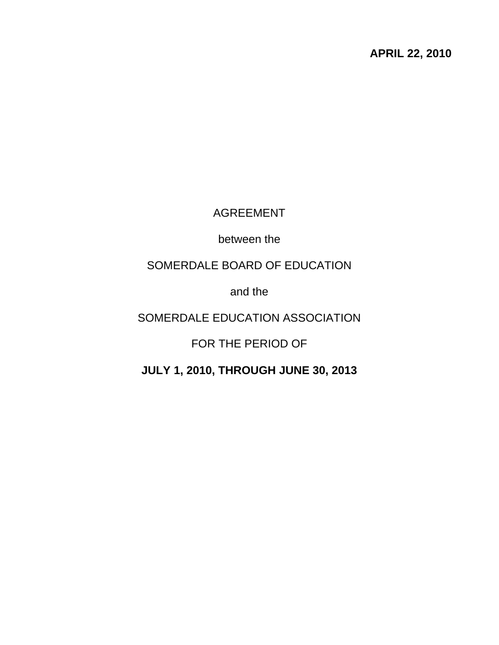**APRIL 22, 2010** 

# AGREEMENT

between the

# SOMERDALE BOARD OF EDUCATION

and the

# SOMERDALE EDUCATION ASSOCIATION

FOR THE PERIOD OF

**JULY 1, 2010, THROUGH JUNE 30, 2013**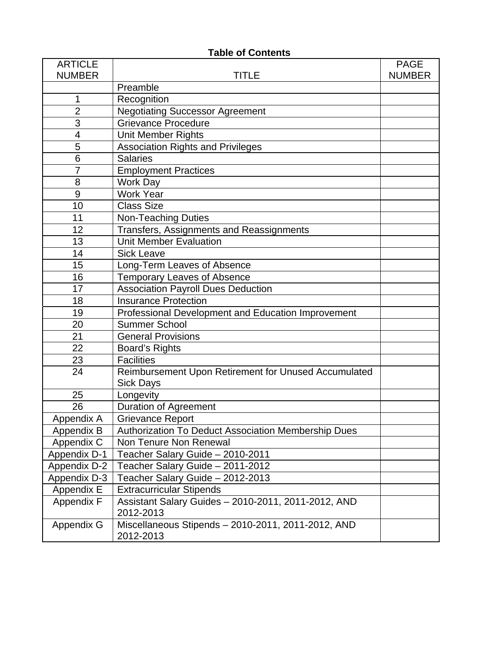| <b>ARTICLE</b><br><b>NUMBER</b> | TITLE                                                            | <b>PAGE</b><br><b>NUMBER</b> |
|---------------------------------|------------------------------------------------------------------|------------------------------|
|                                 | Preamble                                                         |                              |
| 1                               | Recognition                                                      |                              |
| $\overline{2}$                  | <b>Negotiating Successor Agreement</b>                           |                              |
| 3                               | <b>Grievance Procedure</b>                                       |                              |
| 4                               | Unit Member Rights                                               |                              |
| 5                               | <b>Association Rights and Privileges</b>                         |                              |
| 6                               | <b>Salaries</b>                                                  |                              |
| 7                               | <b>Employment Practices</b>                                      |                              |
| 8                               | <b>Work Day</b>                                                  |                              |
| 9                               | <b>Work Year</b>                                                 |                              |
| 10                              | <b>Class Size</b>                                                |                              |
| 11                              | <b>Non-Teaching Duties</b>                                       |                              |
| 12                              | Transfers, Assignments and Reassignments                         |                              |
| 13                              | <b>Unit Member Evaluation</b>                                    |                              |
| 14                              | <b>Sick Leave</b>                                                |                              |
| 15                              | Long-Term Leaves of Absence                                      |                              |
| 16                              | <b>Temporary Leaves of Absence</b>                               |                              |
| 17                              | <b>Association Payroll Dues Deduction</b>                        |                              |
| 18                              | <b>Insurance Protection</b>                                      |                              |
| 19                              | Professional Development and Education Improvement               |                              |
| 20                              | <b>Summer School</b>                                             |                              |
| 21                              | <b>General Provisions</b>                                        |                              |
| 22                              | <b>Board's Rights</b>                                            |                              |
| 23                              | <b>Facilities</b>                                                |                              |
| 24                              | Reimbursement Upon Retirement for Unused Accumulated             |                              |
|                                 | <b>Sick Days</b>                                                 |                              |
| 25                              | Longevity                                                        |                              |
| 26                              | <b>Duration of Agreement</b>                                     |                              |
| Appendix A                      | <b>Grievance Report</b>                                          |                              |
| Appendix B                      | Authorization To Deduct Association Membership Dues              |                              |
| Appendix C                      | Non Tenure Non Renewal                                           |                              |
| Appendix D-1                    | Teacher Salary Guide - 2010-2011                                 |                              |
| <b>Appendix D-2</b>             | Teacher Salary Guide - 2011-2012                                 |                              |
| Appendix D-3                    | Teacher Salary Guide - 2012-2013                                 |                              |
| Appendix E                      | <b>Extracurricular Stipends</b>                                  |                              |
| Appendix F                      | Assistant Salary Guides - 2010-2011, 2011-2012, AND<br>2012-2013 |                              |
| Appendix G                      | Miscellaneous Stipends - 2010-2011, 2011-2012, AND<br>2012-2013  |                              |

# **Table of Contents**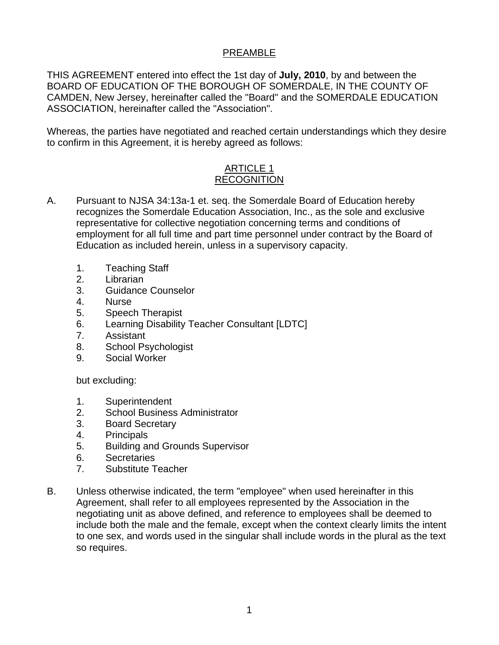# PREAMBLE

THIS AGREEMENT entered into effect the 1st day of **July, 2010**, by and between the BOARD OF EDUCATION OF THE BOROUGH OF SOMERDALE, IN THE COUNTY OF CAMDEN, New Jersey, hereinafter called the "Board" and the SOMERDALE EDUCATION ASSOCIATION, hereinafter called the "Association".

Whereas, the parties have negotiated and reached certain understandings which they desire to confirm in this Agreement, it is hereby agreed as follows:

# ARTICLE 1 RECOGNITION

- A. Pursuant to NJSA 34:13a-1 et. seq. the Somerdale Board of Education hereby recognizes the Somerdale Education Association, Inc., as the sole and exclusive representative for collective negotiation concerning terms and conditions of employment for all full time and part time personnel under contract by the Board of Education as included herein, unless in a supervisory capacity.
	- 1. Teaching Staff
	- 2. Librarian
	- 3. Guidance Counselor
	- 4. Nurse
	- 5. Speech Therapist
	- 6. Learning Disability Teacher Consultant [LDTC]
	- 7. Assistant
	- 8. School Psychologist
	- 9. Social Worker

but excluding:

- 1. Superintendent
- 2. School Business Administrator
- 3. Board Secretary
- 4. Principals
- 5. Building and Grounds Supervisor
- 6. Secretaries
- 7. Substitute Teacher
- B. Unless otherwise indicated, the term "employee" when used hereinafter in this Agreement, shall refer to all employees represented by the Association in the negotiating unit as above defined, and reference to employees shall be deemed to include both the male and the female, except when the context clearly limits the intent to one sex, and words used in the singular shall include words in the plural as the text so requires.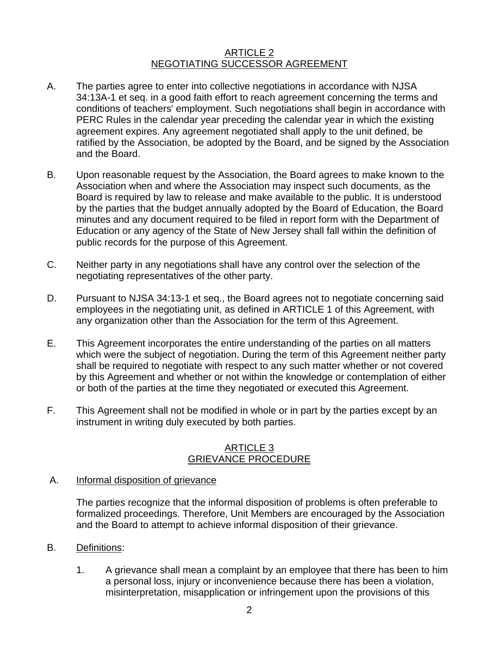#### ARTICLE 2 NEGOTIATING SUCCESSOR AGREEMENT

- A. The parties agree to enter into collective negotiations in accordance with NJSA 34:13A-1 et seq. in a good faith effort to reach agreement concerning the terms and conditions of teachers' employment. Such negotiations shall begin in accordance with PERC Rules in the calendar year preceding the calendar year in which the existing agreement expires. Any agreement negotiated shall apply to the unit defined, be ratified by the Association, be adopted by the Board, and be signed by the Association and the Board.
- B. Upon reasonable request by the Association, the Board agrees to make known to the Association when and where the Association may inspect such documents, as the Board is required by law to release and make available to the public. It is understood by the parties that the budget annually adopted by the Board of Education, the Board minutes and any document required to be filed in report form with the Department of Education or any agency of the State of New Jersey shall fall within the definition of public records for the purpose of this Agreement.
- C. Neither party in any negotiations shall have any control over the selection of the negotiating representatives of the other party.
- D. Pursuant to NJSA 34:13-1 et seq., the Board agrees not to negotiate concerning said employees in the negotiating unit, as defined in ARTICLE 1 of this Agreement, with any organization other than the Association for the term of this Agreement.
- E. This Agreement incorporates the entire understanding of the parties on all matters which were the subject of negotiation. During the term of this Agreement neither party shall be required to negotiate with respect to any such matter whether or not covered by this Agreement and whether or not within the knowledge or contemplation of either or both of the parties at the time they negotiated or executed this Agreement.
- F. This Agreement shall not be modified in whole or in part by the parties except by an instrument in writing duly executed by both parties.

## ARTICLE 3 GRIEVANCE PROCEDURE

A. Informal disposition of grievance

 The parties recognize that the informal disposition of problems is often preferable to formalized proceedings. Therefore, Unit Members are encouraged by the Association and the Board to attempt to achieve informal disposition of their grievance.

- B. Definitions:
	- 1. A grievance shall mean a complaint by an employee that there has been to him a personal loss, injury or inconvenience because there has been a violation, misinterpretation, misapplication or infringement upon the provisions of this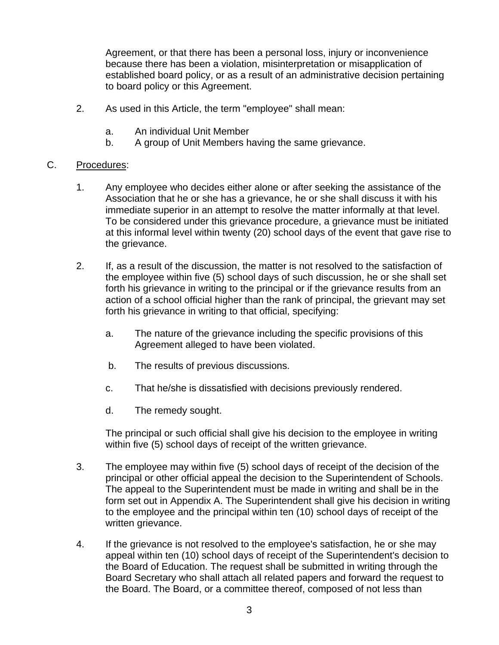Agreement, or that there has been a personal loss, injury or inconvenience because there has been a violation, misinterpretation or misapplication of established board policy, or as a result of an administrative decision pertaining to board policy or this Agreement.

- 2. As used in this Article, the term "employee" shall mean:
	- a. An individual Unit Member
	- b. A group of Unit Members having the same grievance.

## C. Procedures:

- 1. Any employee who decides either alone or after seeking the assistance of the Association that he or she has a grievance, he or she shall discuss it with his immediate superior in an attempt to resolve the matter informally at that level. To be considered under this grievance procedure, a grievance must be initiated at this informal level within twenty (20) school days of the event that gave rise to the grievance.
- 2. If, as a result of the discussion, the matter is not resolved to the satisfaction of the employee within five (5) school days of such discussion, he or she shall set forth his grievance in writing to the principal or if the grievance results from an action of a school official higher than the rank of principal, the grievant may set forth his grievance in writing to that official, specifying:
	- a. The nature of the grievance including the specific provisions of this Agreement alleged to have been violated.
	- b. The results of previous discussions.
	- c. That he/she is dissatisfied with decisions previously rendered.
	- d. The remedy sought.

The principal or such official shall give his decision to the employee in writing within five (5) school days of receipt of the written grievance.

- 3. The employee may within five (5) school days of receipt of the decision of the principal or other official appeal the decision to the Superintendent of Schools. The appeal to the Superintendent must be made in writing and shall be in the form set out in Appendix A. The Superintendent shall give his decision in writing to the employee and the principal within ten (10) school days of receipt of the written grievance.
- 4. If the grievance is not resolved to the employee's satisfaction, he or she may appeal within ten (10) school days of receipt of the Superintendent's decision to the Board of Education. The request shall be submitted in writing through the Board Secretary who shall attach all related papers and forward the request to the Board. The Board, or a committee thereof, composed of not less than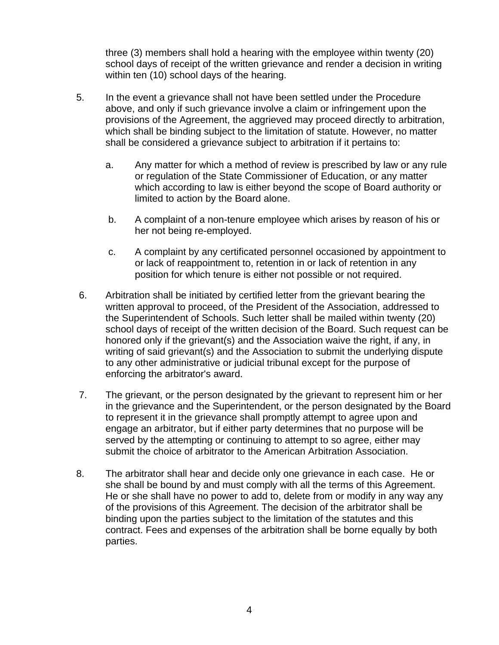three (3) members shall hold a hearing with the employee within twenty (20) school days of receipt of the written grievance and render a decision in writing within ten (10) school days of the hearing.

- 5. In the event a grievance shall not have been settled under the Procedure above, and only if such grievance involve a claim or infringement upon the provisions of the Agreement, the aggrieved may proceed directly to arbitration, which shall be binding subject to the limitation of statute. However, no matter shall be considered a grievance subject to arbitration if it pertains to:
	- a. Any matter for which a method of review is prescribed by law or any rule or regulation of the State Commissioner of Education, or any matter which according to law is either beyond the scope of Board authority or limited to action by the Board alone.
	- b. A complaint of a non-tenure employee which arises by reason of his or her not being re-employed.
	- c. A complaint by any certificated personnel occasioned by appointment to or lack of reappointment to, retention in or lack of retention in any position for which tenure is either not possible or not required.
- 6. Arbitration shall be initiated by certified letter from the grievant bearing the written approval to proceed, of the President of the Association, addressed to the Superintendent of Schools. Such letter shall be mailed within twenty (20) school days of receipt of the written decision of the Board. Such request can be honored only if the grievant(s) and the Association waive the right, if any, in writing of said grievant(s) and the Association to submit the underlying dispute to any other administrative or judicial tribunal except for the purpose of enforcing the arbitrator's award.
- 7. The grievant, or the person designated by the grievant to represent him or her in the grievance and the Superintendent, or the person designated by the Board to represent it in the grievance shall promptly attempt to agree upon and engage an arbitrator, but if either party determines that no purpose will be served by the attempting or continuing to attempt to so agree, either may submit the choice of arbitrator to the American Arbitration Association.
- 8. The arbitrator shall hear and decide only one grievance in each case. He or she shall be bound by and must comply with all the terms of this Agreement. He or she shall have no power to add to, delete from or modify in any way any of the provisions of this Agreement. The decision of the arbitrator shall be binding upon the parties subject to the limitation of the statutes and this contract. Fees and expenses of the arbitration shall be borne equally by both parties.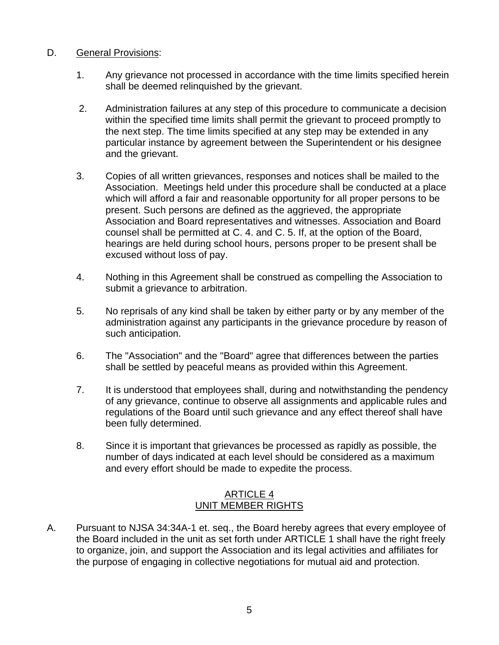## D. General Provisions:

- 1. Any grievance not processed in accordance with the time limits specified herein shall be deemed relinquished by the grievant.
- 2. Administration failures at any step of this procedure to communicate a decision within the specified time limits shall permit the grievant to proceed promptly to the next step. The time limits specified at any step may be extended in any particular instance by agreement between the Superintendent or his designee and the grievant.
- 3. Copies of all written grievances, responses and notices shall be mailed to the Association. Meetings held under this procedure shall be conducted at a place which will afford a fair and reasonable opportunity for all proper persons to be present. Such persons are defined as the aggrieved, the appropriate Association and Board representatives and witnesses. Association and Board counsel shall be permitted at C. 4. and C. 5. If, at the option of the Board, hearings are held during school hours, persons proper to be present shall be excused without loss of pay.
- 4. Nothing in this Agreement shall be construed as compelling the Association to submit a grievance to arbitration.
- 5. No reprisals of any kind shall be taken by either party or by any member of the administration against any participants in the grievance procedure by reason of such anticipation.
- 6. The "Association" and the "Board" agree that differences between the parties shall be settled by peaceful means as provided within this Agreement.
- 7. It is understood that employees shall, during and notwithstanding the pendency of any grievance, continue to observe all assignments and applicable rules and regulations of the Board until such grievance and any effect thereof shall have been fully determined.
- 8. Since it is important that grievances be processed as rapidly as possible, the number of days indicated at each level should be considered as a maximum and every effort should be made to expedite the process.

## ARTICLE 4 UNIT MEMBER RIGHTS

A. Pursuant to NJSA 34:34A-1 et. seq., the Board hereby agrees that every employee of the Board included in the unit as set forth under ARTICLE 1 shall have the right freely to organize, join, and support the Association and its legal activities and affiliates for the purpose of engaging in collective negotiations for mutual aid and protection.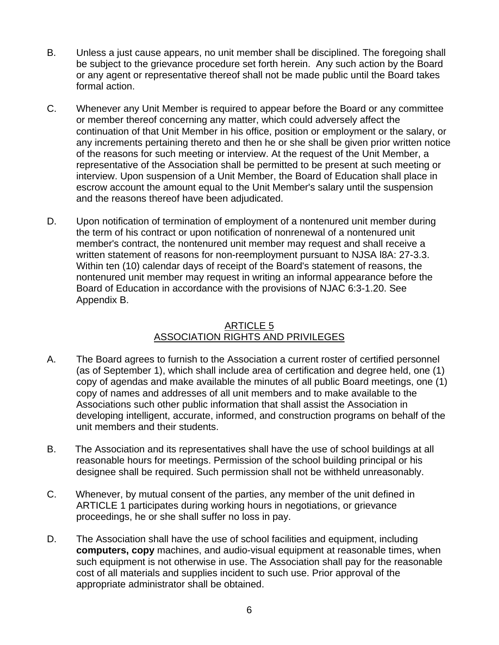- B. Unless a just cause appears, no unit member shall be disciplined. The foregoing shall be subject to the grievance procedure set forth herein. Any such action by the Board or any agent or representative thereof shall not be made public until the Board takes formal action.
- C. Whenever any Unit Member is required to appear before the Board or any committee or member thereof concerning any matter, which could adversely affect the continuation of that Unit Member in his office, position or employment or the salary, or any increments pertaining thereto and then he or she shall be given prior written notice of the reasons for such meeting or interview. At the request of the Unit Member, a representative of the Association shall be permitted to be present at such meeting or interview. Upon suspension of a Unit Member, the Board of Education shall place in escrow account the amount equal to the Unit Member's salary until the suspension and the reasons thereof have been adjudicated.
- D. Upon notification of termination of employment of a nontenured unit member during the term of his contract or upon notification of nonrenewal of a nontenured unit member's contract, the nontenured unit member may request and shall receive a written statement of reasons for non-reemployment pursuant to NJSA l8A: 27-3.3. Within ten (10) calendar days of receipt of the Board's statement of reasons, the nontenured unit member may request in writing an informal appearance before the Board of Education in accordance with the provisions of NJAC 6:3-1.20. See Appendix B.

## ARTICLE 5 ASSOCIATION RIGHTS AND PRIVILEGES

- A. The Board agrees to furnish to the Association a current roster of certified personnel (as of September 1), which shall include area of certification and degree held, one (1) copy of agendas and make available the minutes of all public Board meetings, one (1) copy of names and addresses of all unit members and to make available to the Associations such other public information that shall assist the Association in developing intelligent, accurate, informed, and construction programs on behalf of the unit members and their students.
- B. The Association and its representatives shall have the use of school buildings at all reasonable hours for meetings. Permission of the school building principal or his designee shall be required. Such permission shall not be withheld unreasonably.
- C. Whenever, by mutual consent of the parties, any member of the unit defined in ARTICLE 1 participates during working hours in negotiations, or grievance proceedings, he or she shall suffer no loss in pay.
- D. The Association shall have the use of school facilities and equipment, including **computers, copy** machines, and audio-visual equipment at reasonable times, when such equipment is not otherwise in use. The Association shall pay for the reasonable cost of all materials and supplies incident to such use. Prior approval of the appropriate administrator shall be obtained.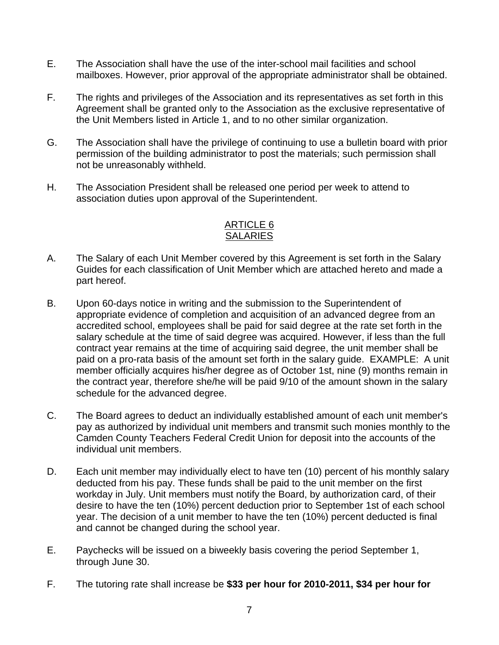- E. The Association shall have the use of the inter-school mail facilities and school mailboxes. However, prior approval of the appropriate administrator shall be obtained.
- F. The rights and privileges of the Association and its representatives as set forth in this Agreement shall be granted only to the Association as the exclusive representative of the Unit Members listed in Article 1, and to no other similar organization.
- G. The Association shall have the privilege of continuing to use a bulletin board with prior permission of the building administrator to post the materials; such permission shall not be unreasonably withheld.
- H. The Association President shall be released one period per week to attend to association duties upon approval of the Superintendent.

# ARTICLE 6 **SALARIES**

- A. The Salary of each Unit Member covered by this Agreement is set forth in the Salary Guides for each classification of Unit Member which are attached hereto and made a part hereof.
- B. Upon 60-days notice in writing and the submission to the Superintendent of appropriate evidence of completion and acquisition of an advanced degree from an accredited school, employees shall be paid for said degree at the rate set forth in the salary schedule at the time of said degree was acquired. However, if less than the full contract year remains at the time of acquiring said degree, the unit member shall be paid on a pro-rata basis of the amount set forth in the salary guide. EXAMPLE: A unit member officially acquires his/her degree as of October 1st, nine (9) months remain in the contract year, therefore she/he will be paid 9/10 of the amount shown in the salary schedule for the advanced degree.
- C. The Board agrees to deduct an individually established amount of each unit member's pay as authorized by individual unit members and transmit such monies monthly to the Camden County Teachers Federal Credit Union for deposit into the accounts of the individual unit members.
- D. Each unit member may individually elect to have ten (10) percent of his monthly salary deducted from his pay. These funds shall be paid to the unit member on the first workday in July. Unit members must notify the Board, by authorization card, of their desire to have the ten (10%) percent deduction prior to September 1st of each school year. The decision of a unit member to have the ten (10%) percent deducted is final and cannot be changed during the school year.
- E. Paychecks will be issued on a biweekly basis covering the period September 1, through June 30.
- F. The tutoring rate shall increase be **\$33 per hour for 2010-2011, \$34 per hour for**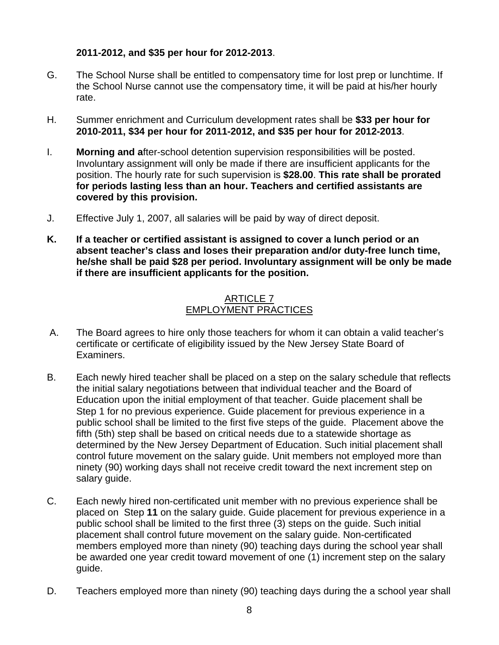# **2011-2012, and \$35 per hour for 2012-2013**.

- G. The School Nurse shall be entitled to compensatory time for lost prep or lunchtime. If the School Nurse cannot use the compensatory time, it will be paid at his/her hourly rate.
- H. Summer enrichment and Curriculum development rates shall be **\$33 per hour for 2010-2011, \$34 per hour for 2011-2012, and \$35 per hour for 2012-2013**.
- I. **Morning and a**fter-school detention supervision responsibilities will be posted. Involuntary assignment will only be made if there are insufficient applicants for the position. The hourly rate for such supervision is **\$28.00**. **This rate shall be prorated for periods lasting less than an hour. Teachers and certified assistants are covered by this provision.**
- J. Effective July 1, 2007, all salaries will be paid by way of direct deposit.
- **K. If a teacher or certified assistant is assigned to cover a lunch period or an absent teacher's class and loses their preparation and/or duty-free lunch time, he/she shall be paid \$28 per period. Involuntary assignment will be only be made if there are insufficient applicants for the position.**

## ARTICLE 7 EMPLOYMENT PRACTICES

- A. The Board agrees to hire only those teachers for whom it can obtain a valid teacher's certificate or certificate of eligibility issued by the New Jersey State Board of Examiners.
- B. Each newly hired teacher shall be placed on a step on the salary schedule that reflects the initial salary negotiations between that individual teacher and the Board of Education upon the initial employment of that teacher. Guide placement shall be Step 1 for no previous experience. Guide placement for previous experience in a public school shall be limited to the first five steps of the guide. Placement above the fifth (5th) step shall be based on critical needs due to a statewide shortage as determined by the New Jersey Department of Education. Such initial placement shall control future movement on the salary guide. Unit members not employed more than ninety (90) working days shall not receive credit toward the next increment step on salary guide.
- C. Each newly hired non-certificated unit member with no previous experience shall be placed on Step **11** on the salary guide. Guide placement for previous experience in a public school shall be limited to the first three (3) steps on the guide. Such initial placement shall control future movement on the salary guide. Non-certificated members employed more than ninety (90) teaching days during the school year shall be awarded one year credit toward movement of one (1) increment step on the salary guide.
- D. Teachers employed more than ninety (90) teaching days during the a school year shall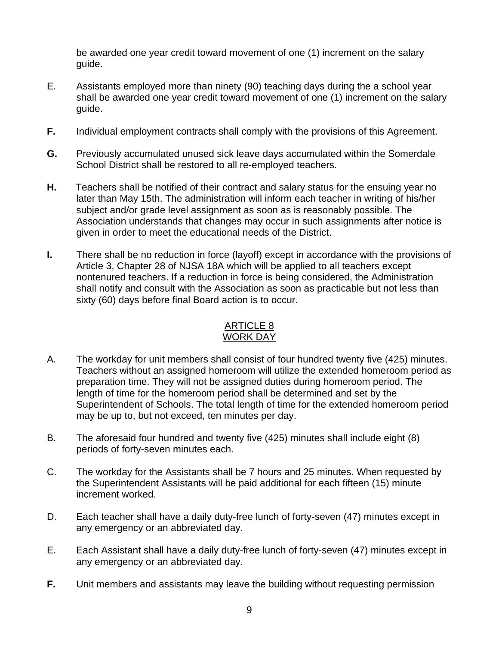be awarded one year credit toward movement of one (1) increment on the salary guide.

- E. Assistants employed more than ninety (90) teaching days during the a school year shall be awarded one year credit toward movement of one (1) increment on the salary guide.
- **F.** Individual employment contracts shall comply with the provisions of this Agreement.
- **G.** Previously accumulated unused sick leave days accumulated within the Somerdale School District shall be restored to all re-employed teachers.
- **H.** Teachers shall be notified of their contract and salary status for the ensuing year no later than May 15th. The administration will inform each teacher in writing of his/her subject and/or grade level assignment as soon as is reasonably possible. The Association understands that changes may occur in such assignments after notice is given in order to meet the educational needs of the District.
- **I.** There shall be no reduction in force (layoff) except in accordance with the provisions of Article 3, Chapter 28 of NJSA 18A which will be applied to all teachers except nontenured teachers. If a reduction in force is being considered, the Administration shall notify and consult with the Association as soon as practicable but not less than sixty (60) days before final Board action is to occur.

#### ARTICLE 8 WORK DAY

- A. The workday for unit members shall consist of four hundred twenty five (425) minutes. Teachers without an assigned homeroom will utilize the extended homeroom period as preparation time. They will not be assigned duties during homeroom period. The length of time for the homeroom period shall be determined and set by the Superintendent of Schools. The total length of time for the extended homeroom period may be up to, but not exceed, ten minutes per day.
- B. The aforesaid four hundred and twenty five (425) minutes shall include eight (8) periods of forty-seven minutes each.
- C. The workday for the Assistants shall be 7 hours and 25 minutes. When requested by the Superintendent Assistants will be paid additional for each fifteen (15) minute increment worked.
- D. Each teacher shall have a daily duty-free lunch of forty-seven (47) minutes except in any emergency or an abbreviated day.
- E. Each Assistant shall have a daily duty-free lunch of forty-seven (47) minutes except in any emergency or an abbreviated day.
- **F.** Unit members and assistants may leave the building without requesting permission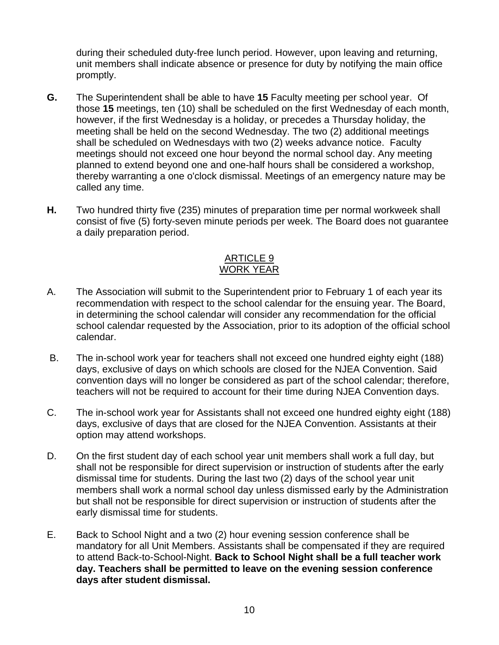during their scheduled duty-free lunch period. However, upon leaving and returning, unit members shall indicate absence or presence for duty by notifying the main office promptly.

- **G.** The Superintendent shall be able to have **15** Faculty meeting per school year. Of those **15** meetings, ten (10) shall be scheduled on the first Wednesday of each month, however, if the first Wednesday is a holiday, or precedes a Thursday holiday, the meeting shall be held on the second Wednesday. The two (2) additional meetings shall be scheduled on Wednesdays with two (2) weeks advance notice. Faculty meetings should not exceed one hour beyond the normal school day. Any meeting planned to extend beyond one and one-half hours shall be considered a workshop, thereby warranting a one o'clock dismissal. Meetings of an emergency nature may be called any time.
- **H.** Two hundred thirty five (235) minutes of preparation time per normal workweek shall consist of five (5) forty-seven minute periods per week. The Board does not guarantee a daily preparation period.

## ARTICLE 9 WORK YEAR

- A. The Association will submit to the Superintendent prior to February 1 of each year its recommendation with respect to the school calendar for the ensuing year. The Board, in determining the school calendar will consider any recommendation for the official school calendar requested by the Association, prior to its adoption of the official school calendar.
- B. The in-school work year for teachers shall not exceed one hundred eighty eight (188) days, exclusive of days on which schools are closed for the NJEA Convention. Said convention days will no longer be considered as part of the school calendar; therefore, teachers will not be required to account for their time during NJEA Convention days.
- C. The in-school work year for Assistants shall not exceed one hundred eighty eight (188) days, exclusive of days that are closed for the NJEA Convention. Assistants at their option may attend workshops.
- D. On the first student day of each school year unit members shall work a full day, but shall not be responsible for direct supervision or instruction of students after the early dismissal time for students. During the last two (2) days of the school year unit members shall work a normal school day unless dismissed early by the Administration but shall not be responsible for direct supervision or instruction of students after the early dismissal time for students.
- E. Back to School Night and a two (2) hour evening session conference shall be mandatory for all Unit Members. Assistants shall be compensated if they are required to attend Back-to-School-Night. **Back to School Night shall be a full teacher work day. Teachers shall be permitted to leave on the evening session conference days after student dismissal.**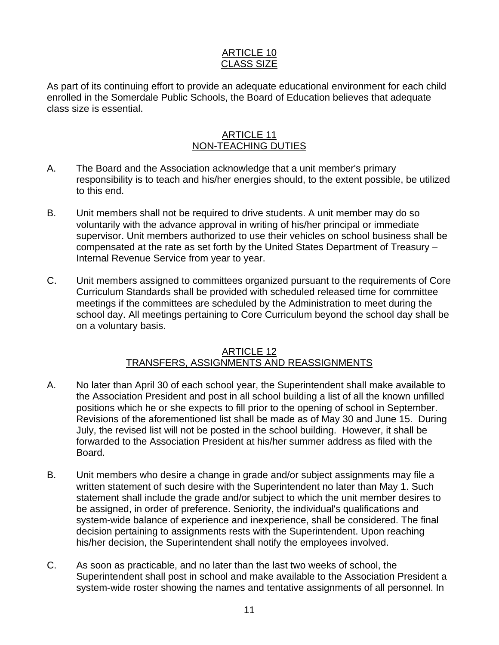### ARTICLE 10 CLASS SIZE

As part of its continuing effort to provide an adequate educational environment for each child enrolled in the Somerdale Public Schools, the Board of Education believes that adequate class size is essential.

## ARTICLE 11 NON-TEACHING DUTIES

- A. The Board and the Association acknowledge that a unit member's primary responsibility is to teach and his/her energies should, to the extent possible, be utilized to this end.
- B. Unit members shall not be required to drive students. A unit member may do so voluntarily with the advance approval in writing of his/her principal or immediate supervisor. Unit members authorized to use their vehicles on school business shall be compensated at the rate as set forth by the United States Department of Treasury – Internal Revenue Service from year to year.
- C. Unit members assigned to committees organized pursuant to the requirements of Core Curriculum Standards shall be provided with scheduled released time for committee meetings if the committees are scheduled by the Administration to meet during the school day. All meetings pertaining to Core Curriculum beyond the school day shall be on a voluntary basis.

## ARTICLE 12 TRANSFERS, ASSIGNMENTS AND REASSIGNMENTS

- A. No later than April 30 of each school year, the Superintendent shall make available to the Association President and post in all school building a list of all the known unfilled positions which he or she expects to fill prior to the opening of school in September. Revisions of the aforementioned list shall be made as of May 30 and June 15. During July, the revised list will not be posted in the school building. However, it shall be forwarded to the Association President at his/her summer address as filed with the Board.
- B. Unit members who desire a change in grade and/or subject assignments may file a written statement of such desire with the Superintendent no later than May 1. Such statement shall include the grade and/or subject to which the unit member desires to be assigned, in order of preference. Seniority, the individual's qualifications and system-wide balance of experience and inexperience, shall be considered. The final decision pertaining to assignments rests with the Superintendent. Upon reaching his/her decision, the Superintendent shall notify the employees involved.
- C. As soon as practicable, and no later than the last two weeks of school, the Superintendent shall post in school and make available to the Association President a system-wide roster showing the names and tentative assignments of all personnel. In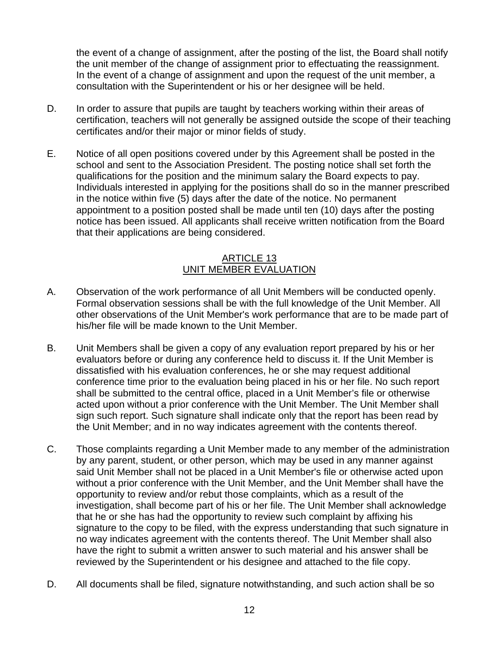the event of a change of assignment, after the posting of the list, the Board shall notify the unit member of the change of assignment prior to effectuating the reassignment. In the event of a change of assignment and upon the request of the unit member, a consultation with the Superintendent or his or her designee will be held.

- D. In order to assure that pupils are taught by teachers working within their areas of certification, teachers will not generally be assigned outside the scope of their teaching certificates and/or their major or minor fields of study.
- E. Notice of all open positions covered under by this Agreement shall be posted in the school and sent to the Association President. The posting notice shall set forth the qualifications for the position and the minimum salary the Board expects to pay. Individuals interested in applying for the positions shall do so in the manner prescribed in the notice within five (5) days after the date of the notice. No permanent appointment to a position posted shall be made until ten (10) days after the posting notice has been issued. All applicants shall receive written notification from the Board that their applications are being considered.

## ARTICLE 13 UNIT MEMBER EVALUATION

- A. Observation of the work performance of all Unit Members will be conducted openly. Formal observation sessions shall be with the full knowledge of the Unit Member. All other observations of the Unit Member's work performance that are to be made part of his/her file will be made known to the Unit Member.
- B. Unit Members shall be given a copy of any evaluation report prepared by his or her evaluators before or during any conference held to discuss it. If the Unit Member is dissatisfied with his evaluation conferences, he or she may request additional conference time prior to the evaluation being placed in his or her file. No such report shall be submitted to the central office, placed in a Unit Member's file or otherwise acted upon without a prior conference with the Unit Member. The Unit Member shall sign such report. Such signature shall indicate only that the report has been read by the Unit Member; and in no way indicates agreement with the contents thereof.
- C. Those complaints regarding a Unit Member made to any member of the administration by any parent, student, or other person, which may be used in any manner against said Unit Member shall not be placed in a Unit Member's file or otherwise acted upon without a prior conference with the Unit Member, and the Unit Member shall have the opportunity to review and/or rebut those complaints, which as a result of the investigation, shall become part of his or her file. The Unit Member shall acknowledge that he or she has had the opportunity to review such complaint by affixing his signature to the copy to be filed, with the express understanding that such signature in no way indicates agreement with the contents thereof. The Unit Member shall also have the right to submit a written answer to such material and his answer shall be reviewed by the Superintendent or his designee and attached to the file copy.
- D. All documents shall be filed, signature notwithstanding, and such action shall be so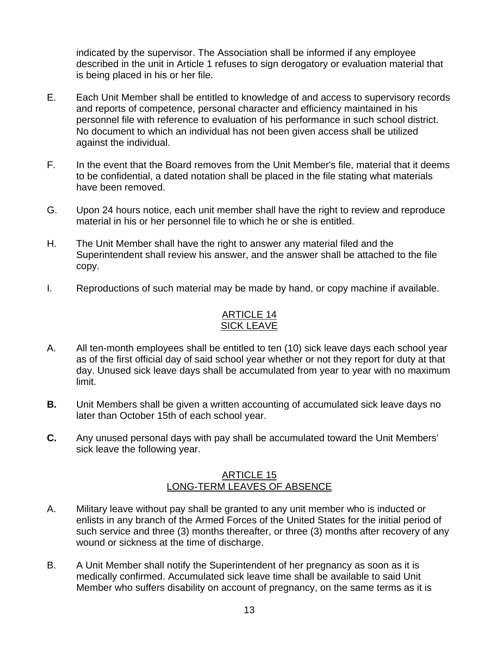indicated by the supervisor. The Association shall be informed if any employee described in the unit in Article 1 refuses to sign derogatory or evaluation material that is being placed in his or her file.

- E. Each Unit Member shall be entitled to knowledge of and access to supervisory records and reports of competence, personal character and efficiency maintained in his personnel file with reference to evaluation of his performance in such school district. No document to which an individual has not been given access shall be utilized against the individual.
- F. In the event that the Board removes from the Unit Member's file, material that it deems to be confidential, a dated notation shall be placed in the file stating what materials have been removed.
- G. Upon 24 hours notice, each unit member shall have the right to review and reproduce material in his or her personnel file to which he or she is entitled.
- H. The Unit Member shall have the right to answer any material filed and the Superintendent shall review his answer, and the answer shall be attached to the file copy.
- I. Reproductions of such material may be made by hand, or copy machine if available.

# ARTICLE 14 SICK LEAVE

- A. All ten-month employees shall be entitled to ten (10) sick leave days each school year as of the first official day of said school year whether or not they report for duty at that day. Unused sick leave days shall be accumulated from year to year with no maximum limit.
- **B.** Unit Members shall be given a written accounting of accumulated sick leave days no later than October 15th of each school year.
- **C.** Any unused personal days with pay shall be accumulated toward the Unit Members' sick leave the following year.

## ARTICLE 15 LONG-TERM LEAVES OF ABSENCE

- A. Military leave without pay shall be granted to any unit member who is inducted or enlists in any branch of the Armed Forces of the United States for the initial period of such service and three (3) months thereafter, or three (3) months after recovery of any wound or sickness at the time of discharge.
- B. A Unit Member shall notify the Superintendent of her pregnancy as soon as it is medically confirmed. Accumulated sick leave time shall be available to said Unit Member who suffers disability on account of pregnancy, on the same terms as it is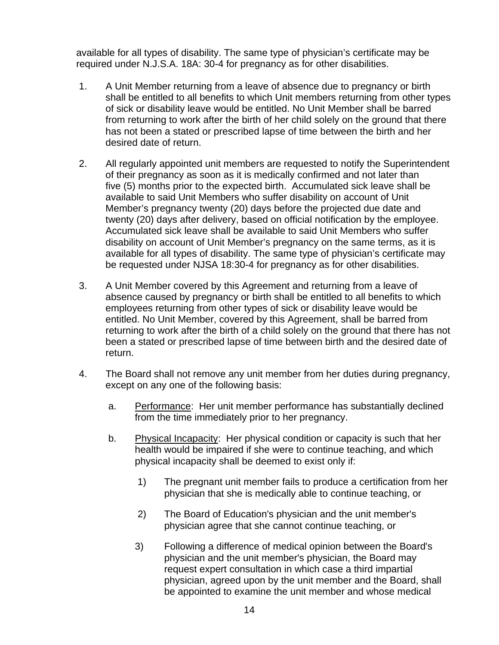available for all types of disability. The same type of physician's certificate may be required under N.J.S.A. 18A: 30-4 for pregnancy as for other disabilities.

- 1. A Unit Member returning from a leave of absence due to pregnancy or birth shall be entitled to all benefits to which Unit members returning from other types of sick or disability leave would be entitled. No Unit Member shall be barred from returning to work after the birth of her child solely on the ground that there has not been a stated or prescribed lapse of time between the birth and her desired date of return.
- 2. All regularly appointed unit members are requested to notify the Superintendent of their pregnancy as soon as it is medically confirmed and not later than five (5) months prior to the expected birth. Accumulated sick leave shall be available to said Unit Members who suffer disability on account of Unit Member's pregnancy twenty (20) days before the projected due date and twenty (20) days after delivery, based on official notification by the employee. Accumulated sick leave shall be available to said Unit Members who suffer disability on account of Unit Member's pregnancy on the same terms, as it is available for all types of disability. The same type of physician's certificate may be requested under NJSA 18:30-4 for pregnancy as for other disabilities.
- 3. A Unit Member covered by this Agreement and returning from a leave of absence caused by pregnancy or birth shall be entitled to all benefits to which employees returning from other types of sick or disability leave would be entitled. No Unit Member, covered by this Agreement, shall be barred from returning to work after the birth of a child solely on the ground that there has not been a stated or prescribed lapse of time between birth and the desired date of return.
- 4. The Board shall not remove any unit member from her duties during pregnancy, except on any one of the following basis:
	- a. Performance: Her unit member performance has substantially declined from the time immediately prior to her pregnancy.
	- b. Physical Incapacity: Her physical condition or capacity is such that her health would be impaired if she were to continue teaching, and which physical incapacity shall be deemed to exist only if:
		- 1) The pregnant unit member fails to produce a certification from her physician that she is medically able to continue teaching, or
		- 2) The Board of Education's physician and the unit member's physician agree that she cannot continue teaching, or
		- 3) Following a difference of medical opinion between the Board's physician and the unit member's physician, the Board may request expert consultation in which case a third impartial physician, agreed upon by the unit member and the Board, shall be appointed to examine the unit member and whose medical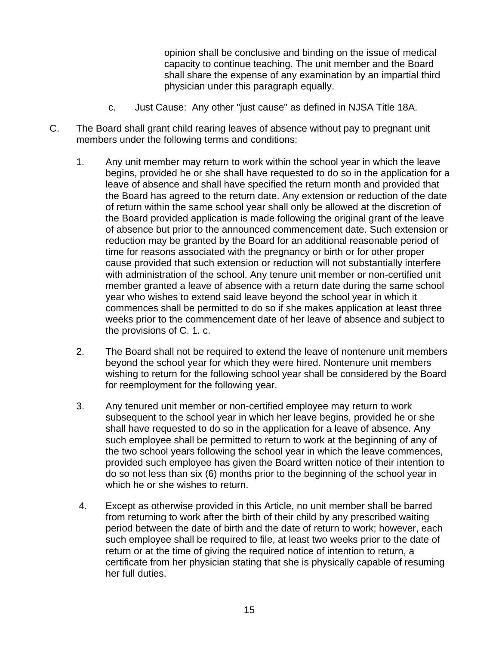opinion shall be conclusive and binding on the issue of medical capacity to continue teaching. The unit member and the Board shall share the expense of any examination by an impartial third physician under this paragraph equally.

- c. Just Cause: Any other "just cause" as defined in NJSA Title 18A.
- C. The Board shall grant child rearing leaves of absence without pay to pregnant unit members under the following terms and conditions:
	- 1. Any unit member may return to work within the school year in which the leave begins, provided he or she shall have requested to do so in the application for a leave of absence and shall have specified the return month and provided that the Board has agreed to the return date. Any extension or reduction of the date of return within the same school year shall only be allowed at the discretion of the Board provided application is made following the original grant of the leave of absence but prior to the announced commencement date. Such extension or reduction may be granted by the Board for an additional reasonable period of time for reasons associated with the pregnancy or birth or for other proper cause provided that such extension or reduction will not substantially interfere with administration of the school. Any tenure unit member or non-certified unit member granted a leave of absence with a return date during the same school year who wishes to extend said leave beyond the school year in which it commences shall be permitted to do so if she makes application at least three weeks prior to the commencement date of her leave of absence and subject to the provisions of C. 1. c.
	- 2. The Board shall not be required to extend the leave of nontenure unit members beyond the school year for which they were hired. Nontenure unit members wishing to return for the following school year shall be considered by the Board for reemployment for the following year.
	- 3. Any tenured unit member or non-certified employee may return to work subsequent to the school year in which her leave begins, provided he or she shall have requested to do so in the application for a leave of absence. Any such employee shall be permitted to return to work at the beginning of any of the two school years following the school year in which the leave commences, provided such employee has given the Board written notice of their intention to do so not less than six (6) months prior to the beginning of the school year in which he or she wishes to return.
	- 4. Except as otherwise provided in this Article, no unit member shall be barred from returning to work after the birth of their child by any prescribed waiting period between the date of birth and the date of return to work; however, each such employee shall be required to file, at least two weeks prior to the date of return or at the time of giving the required notice of intention to return, a certificate from her physician stating that she is physically capable of resuming her full duties.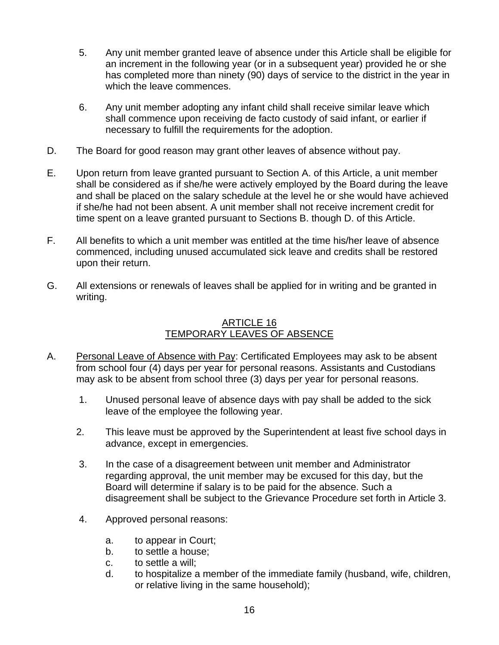- 5. Any unit member granted leave of absence under this Article shall be eligible for an increment in the following year (or in a subsequent year) provided he or she has completed more than ninety (90) days of service to the district in the year in which the leave commences.
- 6. Any unit member adopting any infant child shall receive similar leave which shall commence upon receiving de facto custody of said infant, or earlier if necessary to fulfill the requirements for the adoption.
- D. The Board for good reason may grant other leaves of absence without pay.
- E. Upon return from leave granted pursuant to Section A. of this Article, a unit member shall be considered as if she/he were actively employed by the Board during the leave and shall be placed on the salary schedule at the level he or she would have achieved if she/he had not been absent. A unit member shall not receive increment credit for time spent on a leave granted pursuant to Sections B. though D. of this Article.
- F. All benefits to which a unit member was entitled at the time his/her leave of absence commenced, including unused accumulated sick leave and credits shall be restored upon their return.
- G. All extensions or renewals of leaves shall be applied for in writing and be granted in writing.

# ARTICLE 16 TEMPORARY LEAVES OF ABSENCE

- A. Personal Leave of Absence with Pay: Certificated Employees may ask to be absent from school four (4) days per year for personal reasons. Assistants and Custodians may ask to be absent from school three (3) days per year for personal reasons.
	- 1. Unused personal leave of absence days with pay shall be added to the sick leave of the employee the following year.
	- 2. This leave must be approved by the Superintendent at least five school days in advance, except in emergencies.
	- 3. In the case of a disagreement between unit member and Administrator regarding approval, the unit member may be excused for this day, but the Board will determine if salary is to be paid for the absence. Such a disagreement shall be subject to the Grievance Procedure set forth in Article 3.
	- 4. Approved personal reasons:
		- a. to appear in Court;
		- b. to settle a house;
		- c. to settle a will;
		- d. to hospitalize a member of the immediate family (husband, wife, children, or relative living in the same household);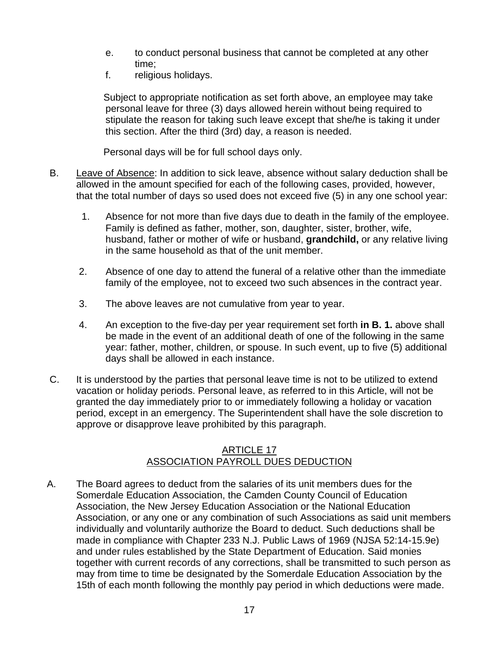- e. to conduct personal business that cannot be completed at any other time;
- f. religious holidays.

 Subject to appropriate notification as set forth above, an employee may take personal leave for three (3) days allowed herein without being required to stipulate the reason for taking such leave except that she/he is taking it under this section. After the third (3rd) day, a reason is needed.

Personal days will be for full school days only.

- B. Leave of Absence: In addition to sick leave, absence without salary deduction shall be allowed in the amount specified for each of the following cases, provided, however, that the total number of days so used does not exceed five (5) in any one school year:
	- 1. Absence for not more than five days due to death in the family of the employee. Family is defined as father, mother, son, daughter, sister, brother, wife, husband, father or mother of wife or husband, **grandchild,** or any relative living in the same household as that of the unit member.
	- 2. Absence of one day to attend the funeral of a relative other than the immediate family of the employee, not to exceed two such absences in the contract year.
	- 3. The above leaves are not cumulative from year to year.
	- 4. An exception to the five-day per year requirement set forth **in B. 1.** above shall be made in the event of an additional death of one of the following in the same year: father, mother, children, or spouse. In such event, up to five (5) additional days shall be allowed in each instance.
- C. It is understood by the parties that personal leave time is not to be utilized to extend vacation or holiday periods. Personal leave, as referred to in this Article, will not be granted the day immediately prior to or immediately following a holiday or vacation period, except in an emergency. The Superintendent shall have the sole discretion to approve or disapprove leave prohibited by this paragraph.

## **ARTICLE 17** ASSOCIATION PAYROLL DUES DEDUCTION

A. The Board agrees to deduct from the salaries of its unit members dues for the Somerdale Education Association, the Camden County Council of Education Association, the New Jersey Education Association or the National Education Association, or any one or any combination of such Associations as said unit members individually and voluntarily authorize the Board to deduct. Such deductions shall be made in compliance with Chapter 233 N.J. Public Laws of 1969 (NJSA 52:14-15.9e) and under rules established by the State Department of Education. Said monies together with current records of any corrections, shall be transmitted to such person as may from time to time be designated by the Somerdale Education Association by the 15th of each month following the monthly pay period in which deductions were made.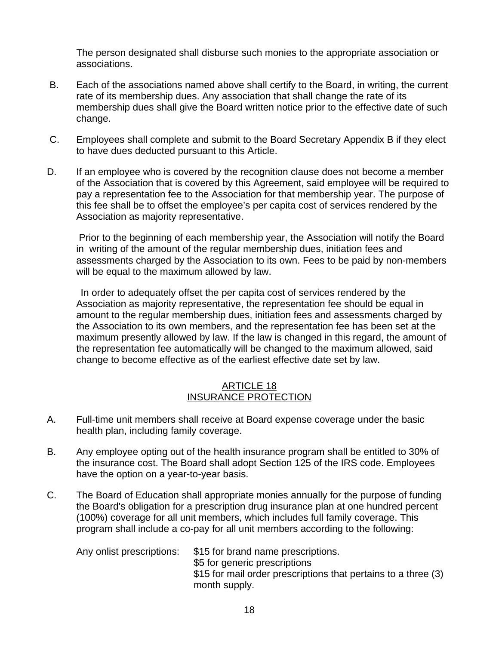The person designated shall disburse such monies to the appropriate association or associations.

- B. Each of the associations named above shall certify to the Board, in writing, the current rate of its membership dues. Any association that shall change the rate of its membership dues shall give the Board written notice prior to the effective date of such change.
- C. Employees shall complete and submit to the Board Secretary Appendix B if they elect to have dues deducted pursuant to this Article.
- D. If an employee who is covered by the recognition clause does not become a member of the Association that is covered by this Agreement, said employee will be required to pay a representation fee to the Association for that membership year. The purpose of this fee shall be to offset the employee's per capita cost of services rendered by the Association as majority representative.

 Prior to the beginning of each membership year, the Association will notify the Board in writing of the amount of the regular membership dues, initiation fees and assessments charged by the Association to its own. Fees to be paid by non-members will be equal to the maximum allowed by law.

 In order to adequately offset the per capita cost of services rendered by the Association as majority representative, the representation fee should be equal in amount to the regular membership dues, initiation fees and assessments charged by the Association to its own members, and the representation fee has been set at the maximum presently allowed by law. If the law is changed in this regard, the amount of the representation fee automatically will be changed to the maximum allowed, said change to become effective as of the earliest effective date set by law.

## ARTICLE 18 INSURANCE PROTECTION

- A. Full-time unit members shall receive at Board expense coverage under the basic health plan, including family coverage.
- B. Any employee opting out of the health insurance program shall be entitled to 30% of the insurance cost. The Board shall adopt Section 125 of the IRS code. Employees have the option on a year-to-year basis.
- C. The Board of Education shall appropriate monies annually for the purpose of funding the Board's obligation for a prescription drug insurance plan at one hundred percent (100%) coverage for all unit members, which includes full family coverage. This program shall include a co-pay for all unit members according to the following:

Any onlist prescriptions: \$15 for brand name prescriptions. \$5 for generic prescriptions \$15 for mail order prescriptions that pertains to a three (3) month supply.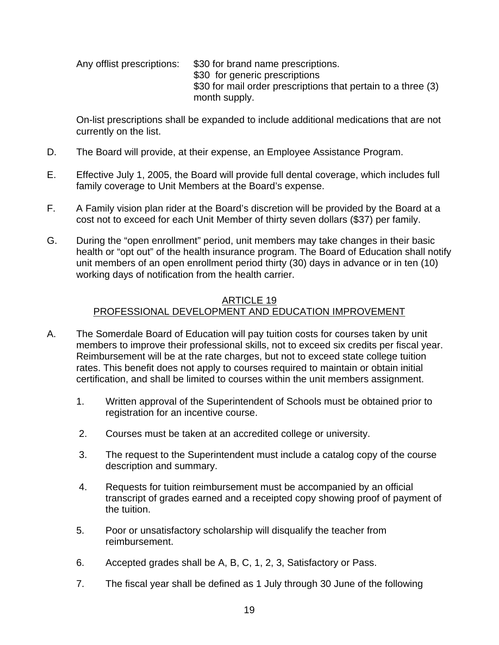Any offlist prescriptions: \$30 for brand name prescriptions. \$30 for generic prescriptions \$30 for mail order prescriptions that pertain to a three (3) month supply.

On-list prescriptions shall be expanded to include additional medications that are not currently on the list.

- D. The Board will provide, at their expense, an Employee Assistance Program.
- E. Effective July 1, 2005, the Board will provide full dental coverage, which includes full family coverage to Unit Members at the Board's expense.
- F. A Family vision plan rider at the Board's discretion will be provided by the Board at a cost not to exceed for each Unit Member of thirty seven dollars (\$37) per family.
- G. During the "open enrollment" period, unit members may take changes in their basic health or "opt out" of the health insurance program. The Board of Education shall notify unit members of an open enrollment period thirty (30) days in advance or in ten (10) working days of notification from the health carrier.

## ARTICLE 19 PROFESSIONAL DEVELOPMENT AND EDUCATION IMPROVEMENT

- A. The Somerdale Board of Education will pay tuition costs for courses taken by unit members to improve their professional skills, not to exceed six credits per fiscal year. Reimbursement will be at the rate charges, but not to exceed state college tuition rates. This benefit does not apply to courses required to maintain or obtain initial certification, and shall be limited to courses within the unit members assignment.
	- 1. Written approval of the Superintendent of Schools must be obtained prior to registration for an incentive course.
	- 2. Courses must be taken at an accredited college or university.
	- 3. The request to the Superintendent must include a catalog copy of the course description and summary.
	- 4. Requests for tuition reimbursement must be accompanied by an official transcript of grades earned and a receipted copy showing proof of payment of the tuition.
	- 5. Poor or unsatisfactory scholarship will disqualify the teacher from reimbursement.
	- 6. Accepted grades shall be A, B, C, 1, 2, 3, Satisfactory or Pass.
	- 7. The fiscal year shall be defined as 1 July through 30 June of the following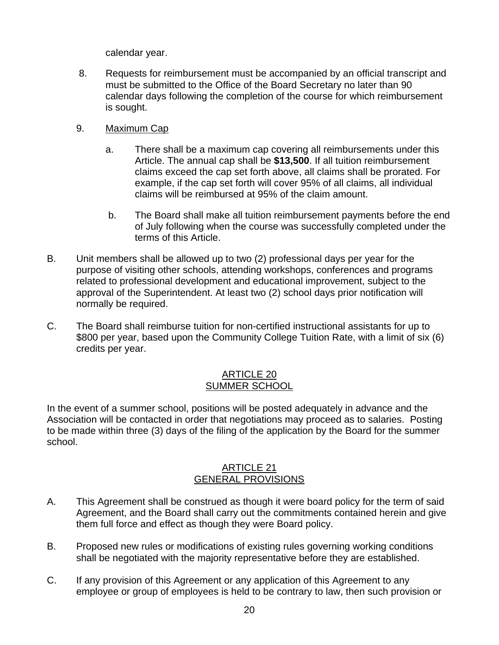calendar year.

- 8. Requests for reimbursement must be accompanied by an official transcript and must be submitted to the Office of the Board Secretary no later than 90 calendar days following the completion of the course for which reimbursement is sought.
- 9. Maximum Cap
	- a. There shall be a maximum cap covering all reimbursements under this Article. The annual cap shall be **\$13,500**. If all tuition reimbursement claims exceed the cap set forth above, all claims shall be prorated. For example, if the cap set forth will cover 95% of all claims, all individual claims will be reimbursed at 95% of the claim amount.
	- b. The Board shall make all tuition reimbursement payments before the end of July following when the course was successfully completed under the terms of this Article.
- B. Unit members shall be allowed up to two (2) professional days per year for the purpose of visiting other schools, attending workshops, conferences and programs related to professional development and educational improvement, subject to the approval of the Superintendent. At least two (2) school days prior notification will normally be required.
- C. The Board shall reimburse tuition for non-certified instructional assistants for up to \$800 per year, based upon the Community College Tuition Rate, with a limit of six (6) credits per year.

## ARTICLE 20 SUMMER SCHOOL

In the event of a summer school, positions will be posted adequately in advance and the Association will be contacted in order that negotiations may proceed as to salaries. Posting to be made within three (3) days of the filing of the application by the Board for the summer school.

## ARTICLE 21 GENERAL PROVISIONS

- A. This Agreement shall be construed as though it were board policy for the term of said Agreement, and the Board shall carry out the commitments contained herein and give them full force and effect as though they were Board policy.
- B. Proposed new rules or modifications of existing rules governing working conditions shall be negotiated with the majority representative before they are established.
- C. If any provision of this Agreement or any application of this Agreement to any employee or group of employees is held to be contrary to law, then such provision or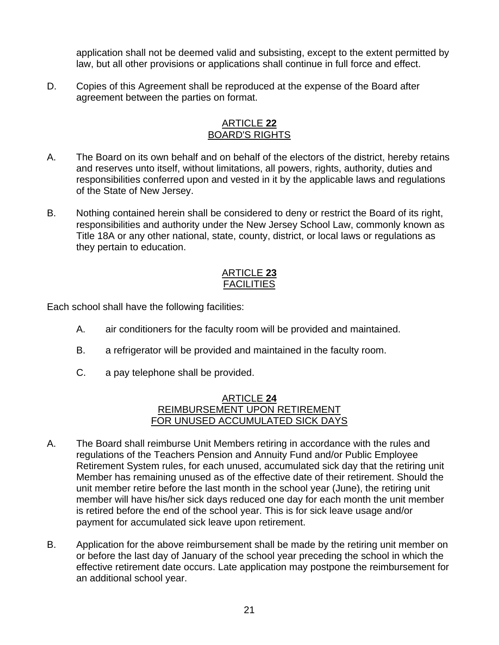application shall not be deemed valid and subsisting, except to the extent permitted by law, but all other provisions or applications shall continue in full force and effect.

D. Copies of this Agreement shall be reproduced at the expense of the Board after agreement between the parties on format.

#### ARTICLE **22** BOARD'S RIGHTS

- A. The Board on its own behalf and on behalf of the electors of the district, hereby retains and reserves unto itself, without limitations, all powers, rights, authority, duties and responsibilities conferred upon and vested in it by the applicable laws and regulations of the State of New Jersey.
- B. Nothing contained herein shall be considered to deny or restrict the Board of its right, responsibilities and authority under the New Jersey School Law, commonly known as Title 18A or any other national, state, county, district, or local laws or regulations as they pertain to education.

## ARTICLE **23** FACILITIES

Each school shall have the following facilities:

- A. air conditioners for the faculty room will be provided and maintained.
- B. a refrigerator will be provided and maintained in the faculty room.
- C. a pay telephone shall be provided.

## ARTICLE **24** REIMBURSEMENT UPON RETIREMENT FOR UNUSED ACCUMULATED SICK DAYS

- A. The Board shall reimburse Unit Members retiring in accordance with the rules and regulations of the Teachers Pension and Annuity Fund and/or Public Employee Retirement System rules, for each unused, accumulated sick day that the retiring unit Member has remaining unused as of the effective date of their retirement. Should the unit member retire before the last month in the school year (June), the retiring unit member will have his/her sick days reduced one day for each month the unit member is retired before the end of the school year. This is for sick leave usage and/or payment for accumulated sick leave upon retirement.
- B. Application for the above reimbursement shall be made by the retiring unit member on or before the last day of January of the school year preceding the school in which the effective retirement date occurs. Late application may postpone the reimbursement for an additional school year.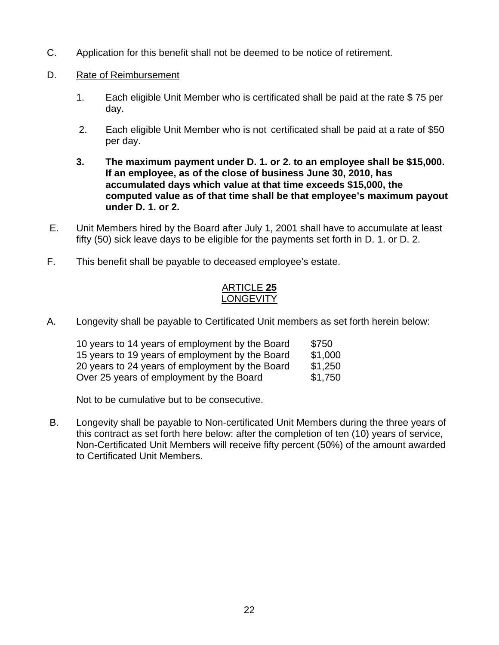- C. Application for this benefit shall not be deemed to be notice of retirement.
- D. Rate of Reimbursement
	- 1. Each eligible Unit Member who is certificated shall be paid at the rate \$ 75 per day.
	- 2. Each eligible Unit Member who is not certificated shall be paid at a rate of \$50 per day.
	- **3. The maximum payment under D. 1. or 2. to an employee shall be \$15,000. If an employee, as of the close of business June 30, 2010, has accumulated days which value at that time exceeds \$15,000, the computed value as of that time shall be that employee's maximum payout under D. 1. or 2.**
- E. Unit Members hired by the Board after July 1, 2001 shall have to accumulate at least fifty (50) sick leave days to be eligible for the payments set forth in D. 1. or D. 2.
- F. This benefit shall be payable to deceased employee's estate.

# ARTICLE **25** LONGEVITY

A. Longevity shall be payable to Certificated Unit members as set forth herein below:

| 10 years to 14 years of employment by the Board | \$750   |
|-------------------------------------------------|---------|
| 15 years to 19 years of employment by the Board | \$1,000 |
| 20 years to 24 years of employment by the Board | \$1,250 |
| Over 25 years of employment by the Board        | \$1,750 |

Not to be cumulative but to be consecutive.

 B. Longevity shall be payable to Non-certificated Unit Members during the three years of this contract as set forth here below: after the completion of ten (10) years of service, Non-Certificated Unit Members will receive fifty percent (50%) of the amount awarded to Certificated Unit Members.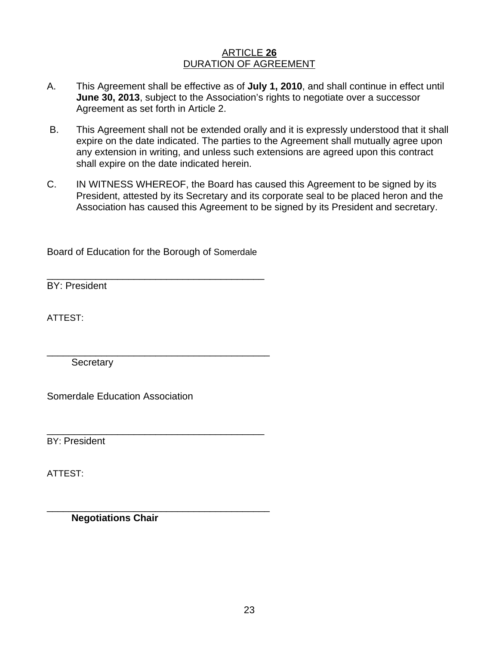## ARTICLE **26** DURATION OF AGREEMENT

- A. This Agreement shall be effective as of **July 1, 2010**, and shall continue in effect until **June 30, 2013**, subject to the Association's rights to negotiate over a successor Agreement as set forth in Article 2.
- B. This Agreement shall not be extended orally and it is expressly understood that it shall expire on the date indicated. The parties to the Agreement shall mutually agree upon any extension in writing, and unless such extensions are agreed upon this contract shall expire on the date indicated herein.
- C. IN WITNESS WHEREOF, the Board has caused this Agreement to be signed by its President, attested by its Secretary and its corporate seal to be placed heron and the Association has caused this Agreement to be signed by its President and secretary.

Board of Education for the Borough of Somerdale

\_\_\_\_\_\_\_\_\_\_\_\_\_\_\_\_\_\_\_\_\_\_\_\_\_\_\_\_\_\_\_\_\_\_\_\_\_\_\_\_

\_\_\_\_\_\_\_\_\_\_\_\_\_\_\_\_\_\_\_\_\_\_\_\_\_\_\_\_\_\_\_\_\_\_\_\_\_\_\_\_\_

\_\_\_\_\_\_\_\_\_\_\_\_\_\_\_\_\_\_\_\_\_\_\_\_\_\_\_\_\_\_\_\_\_\_\_\_\_\_\_\_

\_\_\_\_\_\_\_\_\_\_\_\_\_\_\_\_\_\_\_\_\_\_\_\_\_\_\_\_\_\_\_\_\_\_\_\_\_\_\_\_\_

BY: President

ATTEST:

**Secretary** 

Somerdale Education Association

BY: President

ATTEST:

**Negotiations Chair**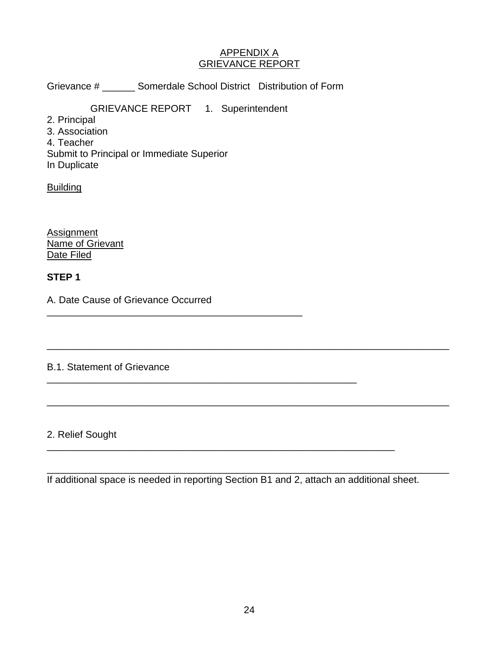## APPENDIX A GRIEVANCE REPORT

Grievance # \_\_\_\_\_\_ Somerdale School District Distribution of Form

GRIEVANCE REPORT 1. Superintendent

- 2. Principal
- 3. Association
- 4. Teacher

Submit to Principal or Immediate Superior

In Duplicate

**Building** 

**Assignment** Name of Grievant Date Filed

# **STEP 1**

A. Date Cause of Grievance Occurred

\_\_\_\_\_\_\_\_\_\_\_\_\_\_\_\_\_\_\_\_\_\_\_\_\_\_\_\_\_\_\_\_\_\_\_\_\_\_\_\_\_\_\_\_\_\_\_

\_\_\_\_\_\_\_\_\_\_\_\_\_\_\_\_\_\_\_\_\_\_\_\_\_\_\_\_\_\_\_\_\_\_\_\_\_\_\_\_\_\_\_\_\_\_\_\_\_\_\_\_\_\_\_\_\_

# B.1. Statement of Grievance

# 2. Relief Sought

If additional space is needed in reporting Section B1 and 2, attach an additional sheet.

\_\_\_\_\_\_\_\_\_\_\_\_\_\_\_\_\_\_\_\_\_\_\_\_\_\_\_\_\_\_\_\_\_\_\_\_\_\_\_\_\_\_\_\_\_\_\_\_\_\_\_\_\_\_\_\_\_\_\_\_\_\_\_\_

\_\_\_\_\_\_\_\_\_\_\_\_\_\_\_\_\_\_\_\_\_\_\_\_\_\_\_\_\_\_\_\_\_\_\_\_\_\_\_\_\_\_\_\_\_\_\_\_\_\_\_\_\_\_\_\_\_\_\_\_\_\_\_\_\_\_\_\_\_\_\_\_\_\_

\_\_\_\_\_\_\_\_\_\_\_\_\_\_\_\_\_\_\_\_\_\_\_\_\_\_\_\_\_\_\_\_\_\_\_\_\_\_\_\_\_\_\_\_\_\_\_\_\_\_\_\_\_\_\_\_\_\_\_\_\_\_\_\_\_\_\_\_\_\_\_\_\_\_

\_\_\_\_\_\_\_\_\_\_\_\_\_\_\_\_\_\_\_\_\_\_\_\_\_\_\_\_\_\_\_\_\_\_\_\_\_\_\_\_\_\_\_\_\_\_\_\_\_\_\_\_\_\_\_\_\_\_\_\_\_\_\_\_\_\_\_\_\_\_\_\_\_\_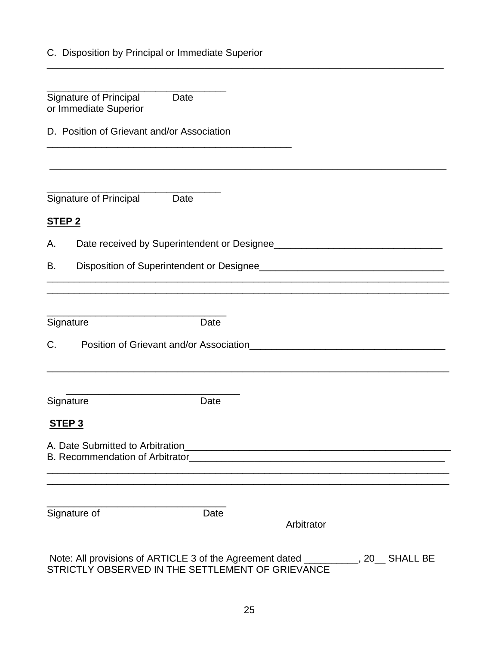| C. Disposition by Principal or Immediate Superior |  |  |  |
|---------------------------------------------------|--|--|--|
|                                                   |  |  |  |

| <b>Signature of Principal</b><br>Date<br>or Immediate Superior                                         |      |            |               |
|--------------------------------------------------------------------------------------------------------|------|------------|---------------|
| D. Position of Grievant and/or Association                                                             |      |            |               |
|                                                                                                        |      |            |               |
| <b>Signature of Principal</b><br>Date                                                                  |      |            |               |
| <b>STEP 2</b>                                                                                          |      |            |               |
| А.                                                                                                     |      |            |               |
| В.                                                                                                     |      |            |               |
|                                                                                                        |      |            |               |
| Signature                                                                                              | Date |            |               |
| $C_{\cdot}$                                                                                            |      |            |               |
| Signature                                                                                              | Date |            |               |
| STEP <sub>3</sub>                                                                                      |      |            |               |
| A. Date Submitted to Arbitration<br>B. Recommendation of Arbitrator<br>E. Recommendation of Arbitrator |      |            |               |
| Signature of                                                                                           | Date | Arbitrator |               |
| Note: All provisions of $\triangle D TICLE$ 3 of the $\triangle$ areoment dated                        |      |            | $20$ CUALL DE |

\_\_\_\_\_\_\_\_\_\_\_\_\_\_\_\_\_\_\_\_\_\_\_\_\_\_\_\_\_\_\_\_\_\_\_\_\_\_\_\_\_\_\_\_\_\_\_\_\_\_\_\_\_\_\_\_\_\_\_\_\_\_\_\_\_\_\_\_\_\_\_\_\_

 Note: All provisions of ARTICLE 3 of the Agreement dated \_\_\_\_\_\_\_\_\_\_, 20\_\_ SHALL BE STRICTLY OBSERVED IN THE SETTLEMENT OF GRIEVANCE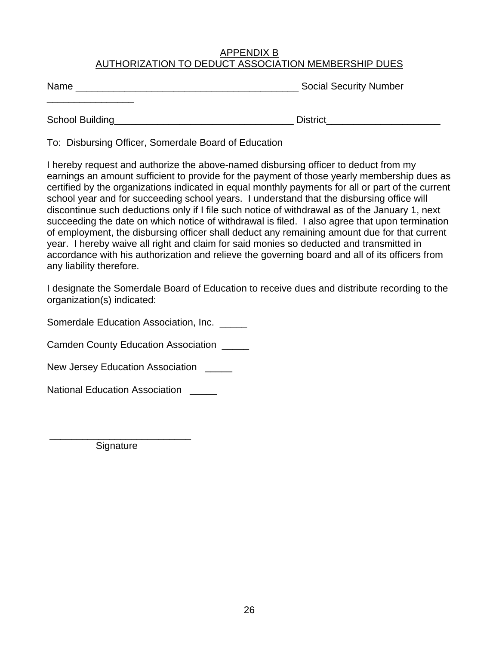## APPENDIX B AUTHORIZATION TO DEDUCT ASSOCIATION MEMBERSHIP DUES

Name \_\_\_\_\_\_\_\_\_\_\_\_\_\_\_\_\_\_\_\_\_\_\_\_\_\_\_\_\_\_\_\_\_\_\_\_\_\_\_\_\_ Social Security Number

School Building\_\_\_\_\_\_\_\_\_\_\_\_\_\_\_\_\_\_\_\_\_\_\_\_\_\_\_\_\_\_\_\_\_ District\_\_\_\_\_\_\_\_\_\_\_\_\_\_\_\_\_\_\_\_\_

\_\_\_\_\_\_\_\_\_\_\_\_\_\_\_\_

To: Disbursing Officer, Somerdale Board of Education

I hereby request and authorize the above-named disbursing officer to deduct from my earnings an amount sufficient to provide for the payment of those yearly membership dues as certified by the organizations indicated in equal monthly payments for all or part of the current school year and for succeeding school years. I understand that the disbursing office will discontinue such deductions only if I file such notice of withdrawal as of the January 1, next succeeding the date on which notice of withdrawal is filed. I also agree that upon termination of employment, the disbursing officer shall deduct any remaining amount due for that current year. I hereby waive all right and claim for said monies so deducted and transmitted in accordance with his authorization and relieve the governing board and all of its officers from any liability therefore.

I designate the Somerdale Board of Education to receive dues and distribute recording to the organization(s) indicated:

Somerdale Education Association, Inc.

Camden County Education Association \_\_\_\_\_

New Jersey Education Association **New Jersey** 

National Education Association **William** 

 \_\_\_\_\_\_\_\_\_\_\_\_\_\_\_\_\_\_\_\_\_\_\_\_\_\_ Signature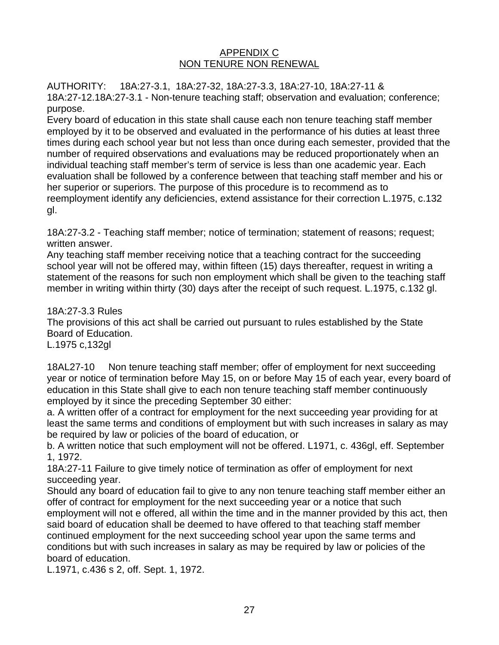## APPENDIX C NON TENURE NON RENEWAL

AUTHORITY: 18A:27-3.1, 18A:27-32, 18A:27-3.3, 18A:27-10, 18A:27-11 & 18A:27-12.18A:27-3.1 - Non-tenure teaching staff; observation and evaluation; conference; purpose.

Every board of education in this state shall cause each non tenure teaching staff member employed by it to be observed and evaluated in the performance of his duties at least three times during each school year but not less than once during each semester, provided that the number of required observations and evaluations may be reduced proportionately when an individual teaching staff member's term of service is less than one academic year. Each evaluation shall be followed by a conference between that teaching staff member and his or her superior or superiors. The purpose of this procedure is to recommend as to reemployment identify any deficiencies, extend assistance for their correction L.1975, c.132 gl.

18A:27-3.2 - Teaching staff member; notice of termination; statement of reasons; request; written answer.

Any teaching staff member receiving notice that a teaching contract for the succeeding school year will not be offered may, within fifteen (15) days thereafter, request in writing a statement of the reasons for such non employment which shall be given to the teaching staff member in writing within thirty (30) days after the receipt of such request. L.1975, c.132 gl.

18A:27-3.3 Rules The provisions of this act shall be carried out pursuant to rules established by the State Board of Education. L.1975 c,132gl

18AL27-10 Non tenure teaching staff member; offer of employment for next succeeding year or notice of termination before May 15, on or before May 15 of each year, every board of education in this State shall give to each non tenure teaching staff member continuously employed by it since the preceding September 30 either:

a. A written offer of a contract for employment for the next succeeding year providing for at least the same terms and conditions of employment but with such increases in salary as may be required by law or policies of the board of education, or

b. A written notice that such employment will not be offered. L1971, c. 436gl, eff. September 1, 1972.

18A:27-11 Failure to give timely notice of termination as offer of employment for next succeeding year.

Should any board of education fail to give to any non tenure teaching staff member either an offer of contract for employment for the next succeeding year or a notice that such employment will not e offered, all within the time and in the manner provided by this act, then said board of education shall be deemed to have offered to that teaching staff member continued employment for the next succeeding school year upon the same terms and conditions but with such increases in salary as may be required by law or policies of the board of education.

L.1971, c.436 s 2, off. Sept. 1, 1972.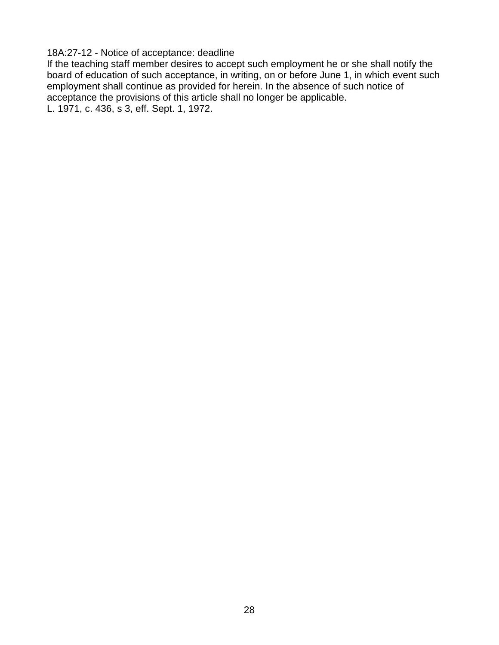18A:27-12 - Notice of acceptance: deadline

If the teaching staff member desires to accept such employment he or she shall notify the board of education of such acceptance, in writing, on or before June 1, in which event such employment shall continue as provided for herein. In the absence of such notice of acceptance the provisions of this article shall no longer be applicable. L. 1971, c. 436, s 3, eff. Sept. 1, 1972.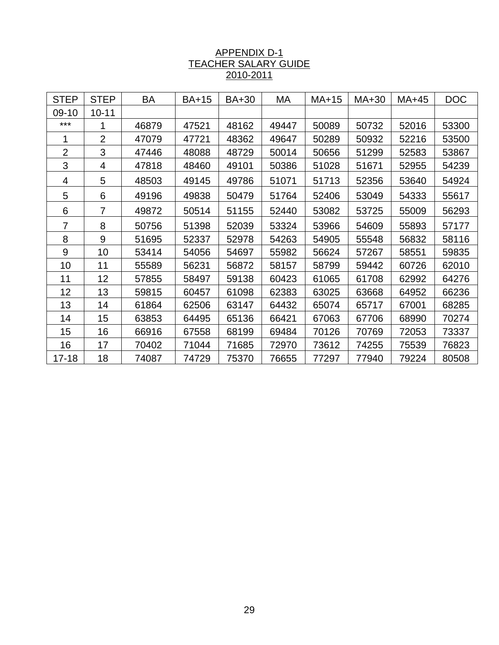## APPENDIX D-1 TEACHER SALARY GUIDE 2010-2011

| <b>STEP</b>    | <b>STEP</b>    | BA    | <b>BA+15</b> | <b>BA+30</b> | МA    | MA+15 | MA+30 | MA+45 | <b>DOC</b> |
|----------------|----------------|-------|--------------|--------------|-------|-------|-------|-------|------------|
| $09-10$        | $10 - 11$      |       |              |              |       |       |       |       |            |
| ***            |                | 46879 | 47521        | 48162        | 49447 | 50089 | 50732 | 52016 | 53300      |
| 1              | $\overline{2}$ | 47079 | 47721        | 48362        | 49647 | 50289 | 50932 | 52216 | 53500      |
| $\overline{2}$ | 3              | 47446 | 48088        | 48729        | 50014 | 50656 | 51299 | 52583 | 53867      |
| 3              | 4              | 47818 | 48460        | 49101        | 50386 | 51028 | 51671 | 52955 | 54239      |
| 4              | 5              | 48503 | 49145        | 49786        | 51071 | 51713 | 52356 | 53640 | 54924      |
| 5              | 6              | 49196 | 49838        | 50479        | 51764 | 52406 | 53049 | 54333 | 55617      |
| 6              | $\overline{7}$ | 49872 | 50514        | 51155        | 52440 | 53082 | 53725 | 55009 | 56293      |
| $\overline{7}$ | 8              | 50756 | 51398        | 52039        | 53324 | 53966 | 54609 | 55893 | 57177      |
| 8              | 9              | 51695 | 52337        | 52978        | 54263 | 54905 | 55548 | 56832 | 58116      |
| 9              | 10             | 53414 | 54056        | 54697        | 55982 | 56624 | 57267 | 58551 | 59835      |
| 10             | 11             | 55589 | 56231        | 56872        | 58157 | 58799 | 59442 | 60726 | 62010      |
| 11             | 12             | 57855 | 58497        | 59138        | 60423 | 61065 | 61708 | 62992 | 64276      |
| 12             | 13             | 59815 | 60457        | 61098        | 62383 | 63025 | 63668 | 64952 | 66236      |
| 13             | 14             | 61864 | 62506        | 63147        | 64432 | 65074 | 65717 | 67001 | 68285      |
| 14             | 15             | 63853 | 64495        | 65136        | 66421 | 67063 | 67706 | 68990 | 70274      |
| 15             | 16             | 66916 | 67558        | 68199        | 69484 | 70126 | 70769 | 72053 | 73337      |
| 16             | 17             | 70402 | 71044        | 71685        | 72970 | 73612 | 74255 | 75539 | 76823      |
| $17 - 18$      | 18             | 74087 | 74729        | 75370        | 76655 | 77297 | 77940 | 79224 | 80508      |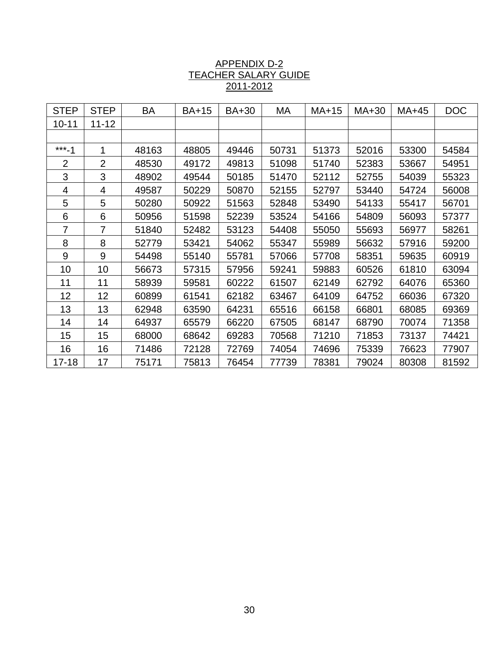| <b>STEP</b>    | <b>STEP</b>    | BA    | <b>BA+15</b> | BA+30 | МA    | $MA+15$ | MA+30 | MA+45 | <b>DOC</b> |
|----------------|----------------|-------|--------------|-------|-------|---------|-------|-------|------------|
| $10 - 11$      | $11 - 12$      |       |              |       |       |         |       |       |            |
|                |                |       |              |       |       |         |       |       |            |
| $***-1$        | 1              | 48163 | 48805        | 49446 | 50731 | 51373   | 52016 | 53300 | 54584      |
| $\overline{2}$ | $\overline{2}$ | 48530 | 49172        | 49813 | 51098 | 51740   | 52383 | 53667 | 54951      |
| 3              | 3              | 48902 | 49544        | 50185 | 51470 | 52112   | 52755 | 54039 | 55323      |
| 4              | 4              | 49587 | 50229        | 50870 | 52155 | 52797   | 53440 | 54724 | 56008      |
| 5              | 5              | 50280 | 50922        | 51563 | 52848 | 53490   | 54133 | 55417 | 56701      |
| 6              | 6              | 50956 | 51598        | 52239 | 53524 | 54166   | 54809 | 56093 | 57377      |
| $\overline{7}$ | $\overline{7}$ | 51840 | 52482        | 53123 | 54408 | 55050   | 55693 | 56977 | 58261      |
| 8              | 8              | 52779 | 53421        | 54062 | 55347 | 55989   | 56632 | 57916 | 59200      |
| 9              | 9              | 54498 | 55140        | 55781 | 57066 | 57708   | 58351 | 59635 | 60919      |
| 10             | 10             | 56673 | 57315        | 57956 | 59241 | 59883   | 60526 | 61810 | 63094      |
| 11             | 11             | 58939 | 59581        | 60222 | 61507 | 62149   | 62792 | 64076 | 65360      |
| 12             | 12             | 60899 | 61541        | 62182 | 63467 | 64109   | 64752 | 66036 | 67320      |
| 13             | 13             | 62948 | 63590        | 64231 | 65516 | 66158   | 66801 | 68085 | 69369      |
| 14             | 14             | 64937 | 65579        | 66220 | 67505 | 68147   | 68790 | 70074 | 71358      |
| 15             | 15             | 68000 | 68642        | 69283 | 70568 | 71210   | 71853 | 73137 | 74421      |
| 16             | 16             | 71486 | 72128        | 72769 | 74054 | 74696   | 75339 | 76623 | 77907      |
| $17 - 18$      | 17             | 75171 | 75813        | 76454 | 77739 | 78381   | 79024 | 80308 | 81592      |

## APPENDIX D-2 TEACHER SALARY GUIDE 2011-2012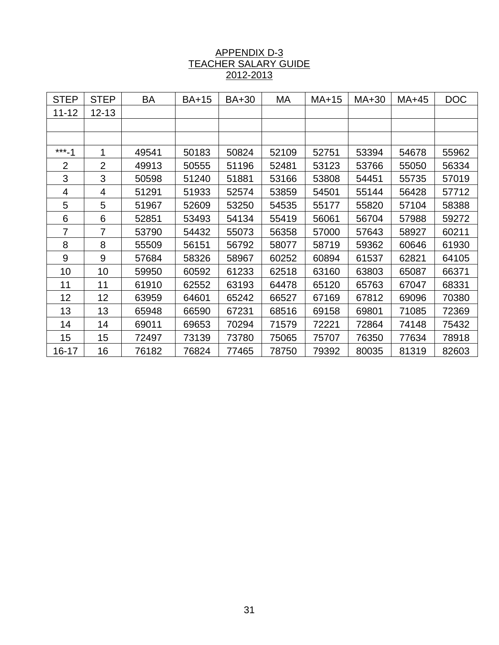#### APPENDIX D-3 TEACHER SALARY GUIDE 2012-2013

| <b>STEP</b>    | <b>STEP</b>    | BA    | <b>BA+15</b> | BA+30 | МA    | $MA+15$ | MA+30 | MA+45 | <b>DOC</b> |
|----------------|----------------|-------|--------------|-------|-------|---------|-------|-------|------------|
| $11 - 12$      | $12 - 13$      |       |              |       |       |         |       |       |            |
|                |                |       |              |       |       |         |       |       |            |
|                |                |       |              |       |       |         |       |       |            |
| $***-1$        | 1              | 49541 | 50183        | 50824 | 52109 | 52751   | 53394 | 54678 | 55962      |
| $\overline{2}$ | $\overline{2}$ | 49913 | 50555        | 51196 | 52481 | 53123   | 53766 | 55050 | 56334      |
| 3              | 3              | 50598 | 51240        | 51881 | 53166 | 53808   | 54451 | 55735 | 57019      |
| 4              | 4              | 51291 | 51933        | 52574 | 53859 | 54501   | 55144 | 56428 | 57712      |
| 5              | 5              | 51967 | 52609        | 53250 | 54535 | 55177   | 55820 | 57104 | 58388      |
| 6              | 6              | 52851 | 53493        | 54134 | 55419 | 56061   | 56704 | 57988 | 59272      |
| 7              | 7              | 53790 | 54432        | 55073 | 56358 | 57000   | 57643 | 58927 | 60211      |
| 8              | 8              | 55509 | 56151        | 56792 | 58077 | 58719   | 59362 | 60646 | 61930      |
| $9\,$          | 9              | 57684 | 58326        | 58967 | 60252 | 60894   | 61537 | 62821 | 64105      |
| 10             | 10             | 59950 | 60592        | 61233 | 62518 | 63160   | 63803 | 65087 | 66371      |
| 11             | 11             | 61910 | 62552        | 63193 | 64478 | 65120   | 65763 | 67047 | 68331      |
| 12             | 12             | 63959 | 64601        | 65242 | 66527 | 67169   | 67812 | 69096 | 70380      |
| 13             | 13             | 65948 | 66590        | 67231 | 68516 | 69158   | 69801 | 71085 | 72369      |
| 14             | 14             | 69011 | 69653        | 70294 | 71579 | 72221   | 72864 | 74148 | 75432      |
| 15             | 15             | 72497 | 73139        | 73780 | 75065 | 75707   | 76350 | 77634 | 78918      |
| 16-17          | 16             | 76182 | 76824        | 77465 | 78750 | 79392   | 80035 | 81319 | 82603      |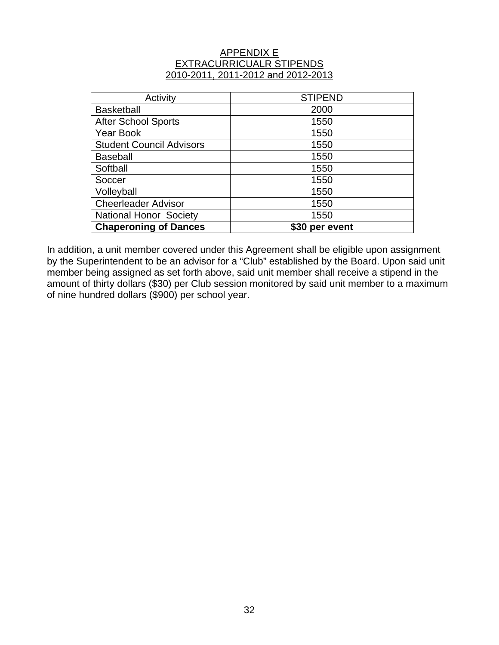#### APPENDIX E EXTRACURRICUALR STIPENDS 2010-2011, 2011-2012 and 2012-2013

| Activity                        | <b>STIPEND</b>           |
|---------------------------------|--------------------------|
| <b>Basketball</b>               | 2000                     |
| <b>After School Sports</b>      | 1550                     |
| Year Book                       | 1550                     |
| <b>Student Council Advisors</b> | 1550                     |
| <b>Baseball</b>                 | 1550                     |
| Softball                        | 1550                     |
| Soccer                          | 1550                     |
| Volleyball                      | 1550                     |
| <b>Cheerleader Advisor</b>      | 1550                     |
| <b>National Honor Society</b>   | 1550                     |
| <b>Chaperoning of Dances</b>    | per event<br><b>\$30</b> |

In addition, a unit member covered under this Agreement shall be eligible upon assignment by the Superintendent to be an advisor for a "Club" established by the Board. Upon said unit member being assigned as set forth above, said unit member shall receive a stipend in the amount of thirty dollars (\$30) per Club session monitored by said unit member to a maximum of nine hundred dollars (\$900) per school year.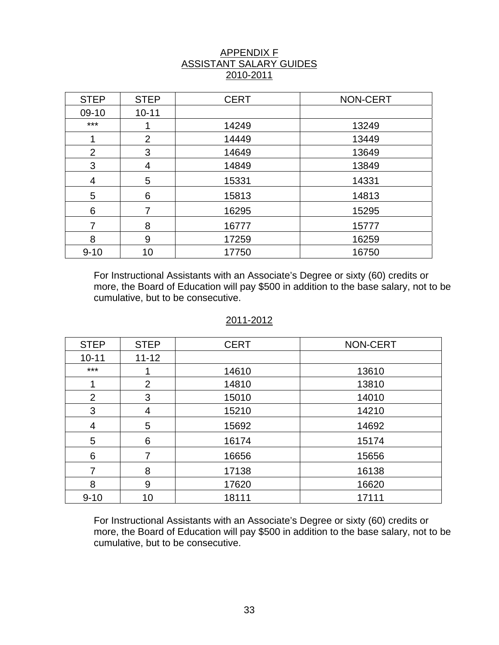## APPENDIX F ASSISTANT SALARY GUIDES 2010-2011

| <b>STEP</b> | <b>STEP</b>    | <b>CERT</b> | <b>NON-CERT</b> |
|-------------|----------------|-------------|-----------------|
| 09-10       | $10 - 11$      |             |                 |
| $***$       |                | 14249       | 13249           |
|             | $\overline{2}$ | 14449       | 13449           |
| 2           | 3              | 14649       | 13649           |
| 3           | 4              | 14849       | 13849           |
| 4           | 5              | 15331       | 14331           |
| 5           | 6              | 15813       | 14813           |
| 6           | 7              | 16295       | 15295           |
|             | 8              | 16777       | 15777           |
| 8           | 9              | 17259       | 16259           |
| $9 - 10$    | 10             | 17750       | 16750           |

For Instructional Assistants with an Associate's Degree or sixty (60) credits or more, the Board of Education will pay \$500 in addition to the base salary, not to be cumulative, but to be consecutive.

#### 2011-2012

| <b>STEP</b> | <b>STEP</b>    | <b>CERT</b> | NON-CERT |
|-------------|----------------|-------------|----------|
| $10 - 11$   | $11 - 12$      |             |          |
| $***$       |                | 14610       | 13610    |
|             | $\overline{2}$ | 14810       | 13810    |
| 2           | 3              | 15010       | 14010    |
| 3           | 4              | 15210       | 14210    |
| 4           | 5              | 15692       | 14692    |
| 5           | 6              | 16174       | 15174    |
| 6           | 7              | 16656       | 15656    |
| 7           | 8              | 17138       | 16138    |
| 8           | 9              | 17620       | 16620    |
| $9 - 10$    | 10             | 18111       | 17111    |

For Instructional Assistants with an Associate's Degree or sixty (60) credits or more, the Board of Education will pay \$500 in addition to the base salary, not to be cumulative, but to be consecutive.